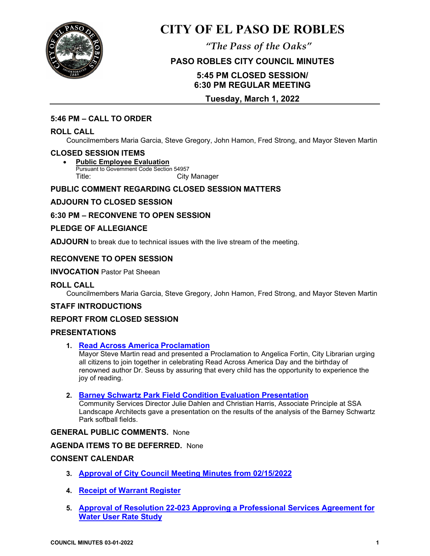

# **CITY OF EL PASO DE ROBLES**

*"The Pass of the Oaks"*

# **PASO ROBLES CITY COUNCIL MINUTES**

# **5:45 PM CLOSED SESSION/ 6:30 PM REGULAR MEETING**

## **Tuesday, March 1, 2022**

### **5:46 PM – CALL TO ORDER**

#### **ROLL CALL**

Councilmembers Maria Garcia, Steve Gregory, John Hamon, Fred Strong, and Mayor Steven Martin

#### **CLOSED SESSION ITEMS**

• **Public Employee Evaluation** Pursuant to Government Code Section 54957 Title: City Manager

## **PUBLIC COMMENT REGARDING CLOSED SESSION MATTERS**

## **ADJOURN TO CLOSED SESSION**

## **6:30 PM – RECONVENE TO OPEN SESSION**

### **PLEDGE OF ALLEGIANCE**

**ADJOURN** to break due to technical issues with the live stream of the meeting.

## **RECONVENE TO OPEN SESSION**

**INVOCATION** Pastor Pat Sheean

#### **ROLL CALL**

Councilmembers Maria Garcia, Steve Gregory, John Hamon, Fred Strong, and Mayor Steven Martin

#### **STAFF INTRODUCTIONS**

#### **REPORT FROM CLOSED SESSION**

#### **PRESENTATIONS**

**1. [Read Across America Proclamation](https://www.prcity.com/DocumentCenter/View/33242/March-1-2022-City-Council-Agenda-Item-01-PDF)** 

Mayor Steve Martin read and presented a Proclamation to Angelica Fortin, City Librarian urging all citizens to join together in celebrating Read Across America Day and the birthday of renowned author Dr. Seuss by assuring that every child has the opportunity to experience the joy of reading.

**2. [Barney Schwartz Park Field Condition Evaluation Presentation](https://www.prcity.com/DocumentCenter/View/33243/March-1-2022-City-Council-Agenda-Item-02-PDF)** 

Community Services Director Julie Dahlen and Christian Harris, Associate Principle at SSA Landscape Architects gave a presentation on the results of the analysis of the Barney Schwartz Park softball fields.

#### **GENERAL PUBLIC COMMENTS.** None

#### **AGENDA ITEMS TO BE DEFERRED.** None

#### **CONSENT CALENDAR**

- **3. [Approval of City Council Meeting Minutes from 02/15/2022](https://www.prcity.com/DocumentCenter/View/33244/March-1-2022-City-Council-Agenda-Item-03-PDF)**
- **4. Receipt [of Warrant Register](https://www.prcity.com/DocumentCenter/View/33245/March-1-2022-City-Council-Agenda-Item-04-PDF)**
- **5. Approval of Resolution 22-023 Approving a [Professional Services Agreement for](https://www.prcity.com/DocumentCenter/View/33246/March-1-2022-City-Council-Agenda-Item-05-PDF)  [Water User Rate Study](https://www.prcity.com/DocumentCenter/View/33246/March-1-2022-City-Council-Agenda-Item-05-PDF)**